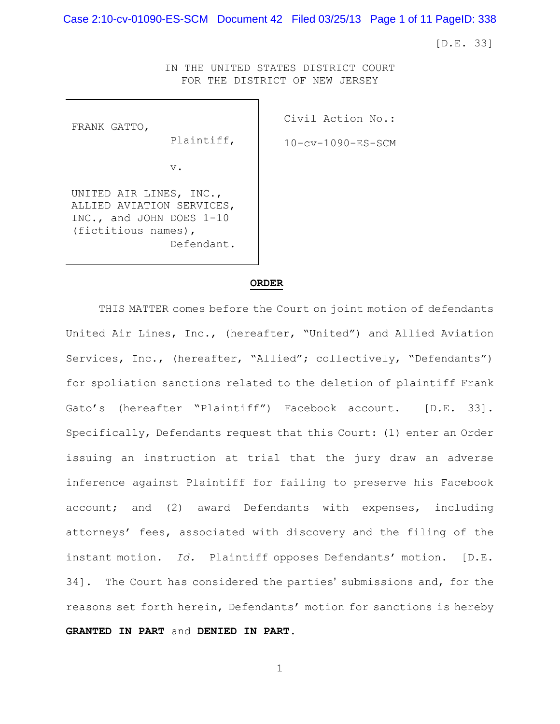Case 2:10-cv-01090-ES-SCM Document 42 Filed 03/25/13 Page 1 of 11 PageID: 338

[D.E. 33]

IN THE UNITED STATES DISTRICT COURT FOR THE DISTRICT OF NEW JERSEY

FRANK GATTO,

Civil Action No.: 10-cv-1090-ES-SCM

v.

Plaintiff,

UNITED AIR LINES, INC., ALLIED AVIATION SERVICES, INC., and JOHN DOES 1-10 (fictitious names), Defendant.

### **ORDER**

THIS MATTER comes before the Court on joint motion of defendants United Air Lines, Inc., (hereafter, "United") and Allied Aviation Services, Inc., (hereafter, "Allied"; collectively, "Defendants") for spoliation sanctions related to the deletion of plaintiff Frank Gato's (hereafter "Plaintiff") Facebook account. [D.E. 33]. Specifically, Defendants request that this Court: (1) enter an Order issuing an instruction at trial that the jury draw an adverse inference against Plaintiff for failing to preserve his Facebook account; and (2) award Defendants with expenses, including attorneys' fees, associated with discovery and the filing of the instant motion. *Id.* Plaintiff opposes Defendants' motion. [D.E. 34]. The Court has considered the parties' submissions and, for the reasons set forth herein, Defendants' motion for sanctions is hereby **GRANTED IN PART** and **DENIED IN PART**.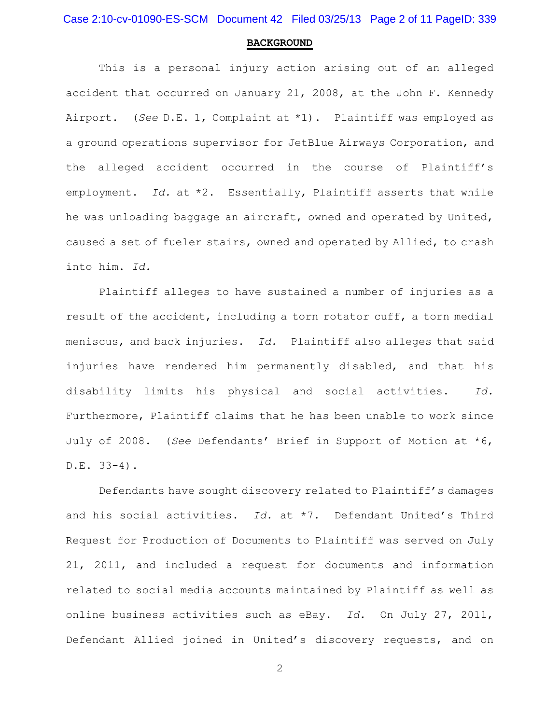Case 2:10-cv-01090-ES-SCM Document 42 Filed 03/25/13 Page 2 of 11 PageID: 339

#### **BACKGROUND**

This is a personal injury action arising out of an alleged accident that occurred on January 21, 2008, at the John F. Kennedy Airport. (*See* D.E. 1, Complaint at \*1). Plaintiff was employed as a ground operations supervisor for JetBlue Airways Corporation, and the alleged accident occurred in the course of Plaintiff's employment. *Id.* at \*2. Essentially, Plaintiff asserts that while he was unloading baggage an aircraft, owned and operated by United, caused a set of fueler stairs, owned and operated by Allied, to crash into him. *Id.*

Plaintiff alleges to have sustained a number of injuries as a result of the accident, including a torn rotator cuff, a torn medial meniscus, and back injuries. *Id.* Plaintiff also alleges that said injuries have rendered him permanently disabled, and that his disability limits his physical and social activities. *Id.* Furthermore, Plaintiff claims that he has been unable to work since July of 2008. (*See* Defendants' Brief in Support of Motion at \*6, D.E. 33-4).

Defendants have sought discovery related to Plaintiff's damages and his social activities. *Id.* at \*7. Defendant United's Third Request for Production of Documents to Plaintiff was served on July 21, 2011, and included a request for documents and information related to social media accounts maintained by Plaintiff as well as online business activities such as eBay. *Id.* On July 27, 2011, Defendant Allied joined in United's discovery requests, and on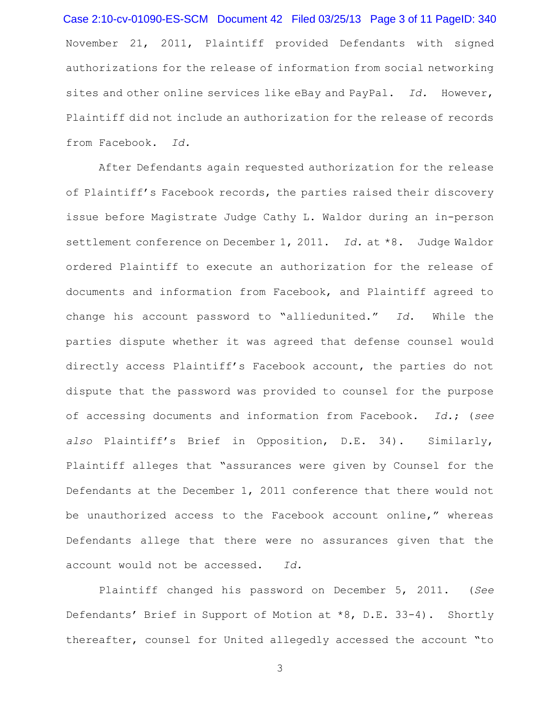November 21, 2011, Plaintiff provided Defendants with signed authorizations for the release of information from social networking sites and other online services like eBay and PayPal. *Id.* However, Plaintiff did not include an authorization for the release of records from Facebook. *Id.* Case 2:10-cv-01090-ES-SCM Document 42 Filed 03/25/13 Page 3 of 11 PageID: 340

After Defendants again requested authorization for the release of Plaintiff's Facebook records, the parties raised their discovery issue before Magistrate Judge Cathy L. Waldor during an in-person settlement conference on December 1, 2011. *Id.* at \*8. Judge Waldor ordered Plaintiff to execute an authorization for the release of documents and information from Facebook, and Plaintiff agreed to change his account password to "alliedunited." *Id*. While the parties dispute whether it was agreed that defense counsel would directly access Plaintiff's Facebook account, the parties do not dispute that the password was provided to counsel for the purpose of accessing documents and information from Facebook. *Id.*; (*see also* Plaintiff's Brief in Opposition, D.E. 34). Similarly, Plaintiff alleges that "assurances were given by Counsel for the Defendants at the December 1, 2011 conference that there would not be unauthorized access to the Facebook account online," whereas Defendants allege that there were no assurances given that the account would not be accessed. *Id.*

Plaintiff changed his password on December 5, 2011. (*See* Defendants' Brief in Support of Motion at \*8, D.E. 33-4). Shortly thereafter, counsel for United allegedly accessed the account "to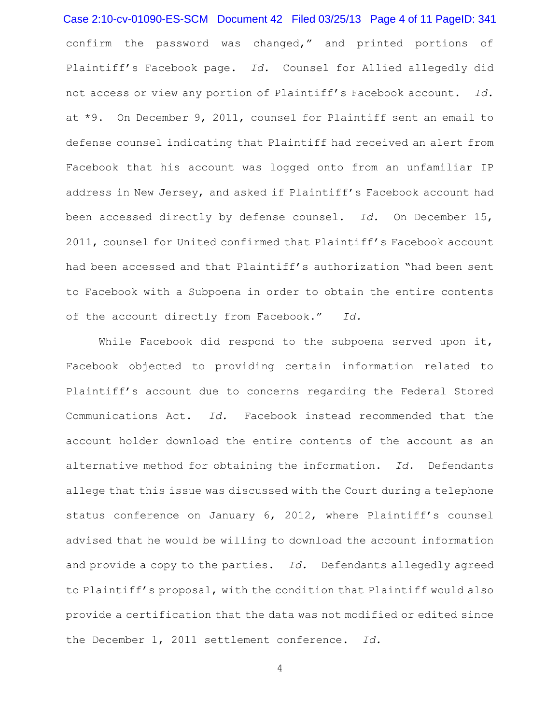confirm the password was changed," and printed portions of Plaintiff's Facebook page. *Id.* Counsel for Allied allegedly did not access or view any portion of Plaintiff's Facebook account. *Id.* at \*9. On December 9, 2011, counsel for Plaintiff sent an email to defense counsel indicating that Plaintiff had received an alert from Facebook that his account was logged onto from an unfamiliar IP address in New Jersey, and asked if Plaintiff's Facebook account had been accessed directly by defense counsel. *Id.* On December 15, 2011, counsel for United confirmed that Plaintiff's Facebook account had been accessed and that Plaintiff's authorization "had been sent to Facebook with a Subpoena in order to obtain the entire contents of the account directly from Facebook." *Id.* Case 2:10-cv-01090-ES-SCM Document 42 Filed 03/25/13 Page 4 of 11 PageID: 341

While Facebook did respond to the subpoena served upon it, Facebook objected to providing certain information related to Plaintiff's account due to concerns regarding the Federal Stored Communications Act. *Id.* Facebook instead recommended that the account holder download the entire contents of the account as an alternative method for obtaining the information. *Id.* Defendants allege that this issue was discussed with the Court during a telephone status conference on January 6, 2012, where Plaintiff's counsel advised that he would be willing to download the account information and provide a copy to the parties. *Id.* Defendants allegedly agreed to Plaintiff's proposal, with the condition that Plaintiff would also provide a certification that the data was not modified or edited since the December 1, 2011 settlement conference. *Id.*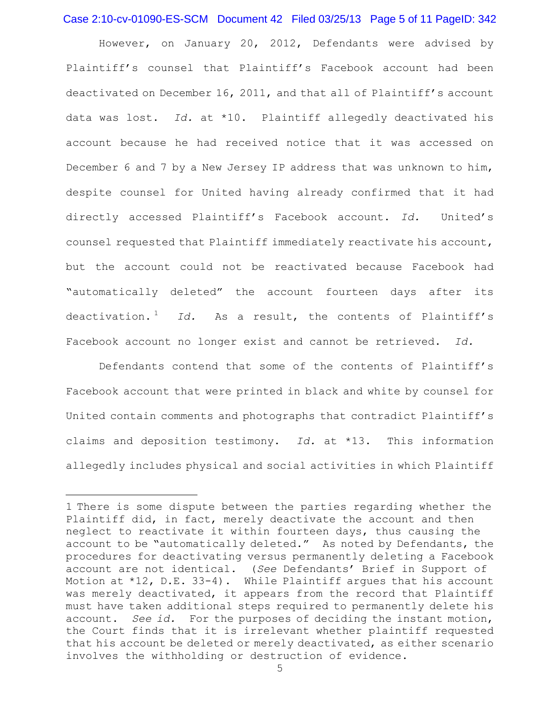# Case 2:10-cv-01090-ES-SCM Document 42 Filed 03/25/13 Page 5 of 11 PageID: 342

However, on January 20, 2012, Defendants were advised by Plaintiff's counsel that Plaintiff's Facebook account had been deactivated on December 16, 2011, and that all of Plaintiff's account data was lost. *Id.* at \*10. Plaintiff allegedly deactivated his account because he had received notice that it was accessed on December 6 and 7 by a New Jersey IP address that was unknown to him, despite counsel for United having already confirmed that it had directly accessed Plaintiff's Facebook account. *Id.* United's counsel requested that Plaintiff immediately reactivate his account, but the account could not be reactivated because Facebook had "automatically deleted" the account fourteen days after its deactivation.<sup>1</sup> *Id.* As a result, the contents of Plaintiff's Facebook account no longer exist and cannot be retrieved. *Id.*

Defendants contend that some of the contents of Plaintiff's Facebook account that were printed in black and white by counsel for United contain comments and photographs that contradict Plaintiff's claims and deposition testimony. *Id.* at \*13. This information allegedly includes physical and social activities in which Plaintiff

 $\overline{a}$ 

<sup>1</sup> There is some dispute between the parties regarding whether the Plaintiff did, in fact, merely deactivate the account and then neglect to reactivate it within fourteen days, thus causing the account to be "automatically deleted." As noted by Defendants, the procedures for deactivating versus permanently deleting a Facebook account are not identical. (*See* Defendants' Brief in Support of Motion at  $*12$ , D.E. 33-4). While Plaintiff argues that his account was merely deactivated, it appears from the record that Plaintiff must have taken additional steps required to permanently delete his account. *See id.* For the purposes of deciding the instant motion, the Court finds that it is irrelevant whether plaintiff requested that his account be deleted or merely deactivated, as either scenario involves the withholding or destruction of evidence.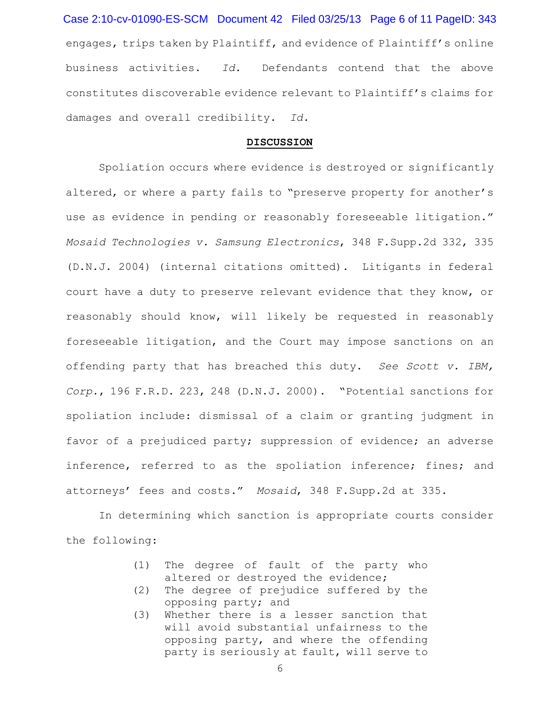engages, trips taken by Plaintiff, and evidence of Plaintiff's online business activities. *Id.* Defendants contend that the above constitutes discoverable evidence relevant to Plaintiff's claims for damages and overall credibility. *Id.* Case 2:10-cv-01090-ES-SCM Document 42 Filed 03/25/13 Page 6 of 11 PageID: 343

#### **DISCUSSION**

Spoliation occurs where evidence is destroyed or significantly altered, or where a party fails to "preserve property for another's use as evidence in pending or reasonably foreseeable litigation." *Mosaid Technologies v. Samsung Electronics*, 348 F.Supp.2d 332, 335 (D.N.J. 2004) (internal citations omitted). Litigants in federal court have a duty to preserve relevant evidence that they know, or reasonably should know, will likely be requested in reasonably foreseeable litigation, and the Court may impose sanctions on an offending party that has breached this duty. *See Scott v. IBM, Corp.*, 196 F.R.D. 223, 248 (D.N.J. 2000). "Potential sanctions for spoliation include: dismissal of a claim or granting judgment in favor of a prejudiced party; suppression of evidence; an adverse inference, referred to as the spoliation inference; fines; and attorneys' fees and costs." *Mosaid*, 348 F.Supp.2d at 335.

In determining which sanction is appropriate courts consider the following:

- (1) The degree of fault of the party who altered or destroyed the evidence;
- (2) The degree of prejudice suffered by the opposing party; and
- (3) Whether there is a lesser sanction that will avoid substantial unfairness to the opposing party, and where the offending party is seriously at fault, will serve to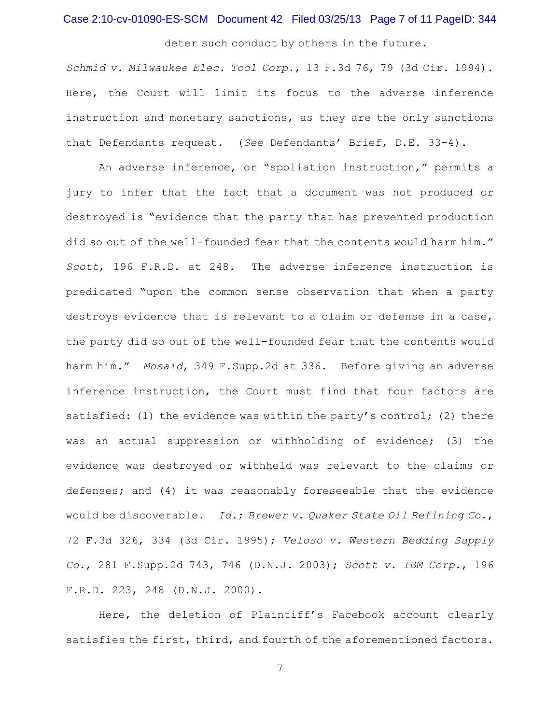## Case 2:10-cv-01090-ES-SCM Document 42 Filed 03/25/13 Page 7 of 11 PageID: 344

deter such conduct by others in the future.

*Schmid v. Milwaukee Elec. Tool Corp.*, 13 F.3d 76, 79 (3d Cir. 1994). Here, the Court will limit its focus to the adverse inference instruction and monetary sanctions, as they are the only sanctions that Defendants request. (*See* Defendants' Brief, D.E. 33-4).

An adverse inference, or "spoliation instruction," permits a jury to infer that the fact that a document was not produced or destroyed is "evidence that the party that has prevented production did so out of the well-founded fear that the contents would harm him." *Scott*, 196 F.R.D. at 248. The adverse inference instruction is predicated "upon the common sense observation that when a party destroys evidence that is relevant to a claim or defense in a case, the party did so out of the well-founded fear that the contents would harm him." *Mosaid*, 349 F.Supp.2d at 336. Before giving an adverse inference instruction, the Court must find that four factors are satisfied: (1) the evidence was within the party's control; (2) there was an actual suppression or withholding of evidence; (3) the evidence was destroyed or withheld was relevant to the claims or defenses; and (4) it was reasonably foreseeable that the evidence would be discoverable. *Id.*; *Brewer v. Quaker State Oil Refining Co.*, 72 F.3d 326, 334 (3d Cir. 1995); *Veloso v. Western Bedding Supply Co.*, 281 F.Supp.2d 743, 746 (D.N.J. 2003); *Scott v. IBM Corp.*, 196 F.R.D. 223, 248 (D.N.J. 2000).

Here, the deletion of Plaintiff's Facebook account clearly satisfies the first, third, and fourth of the aforementioned factors.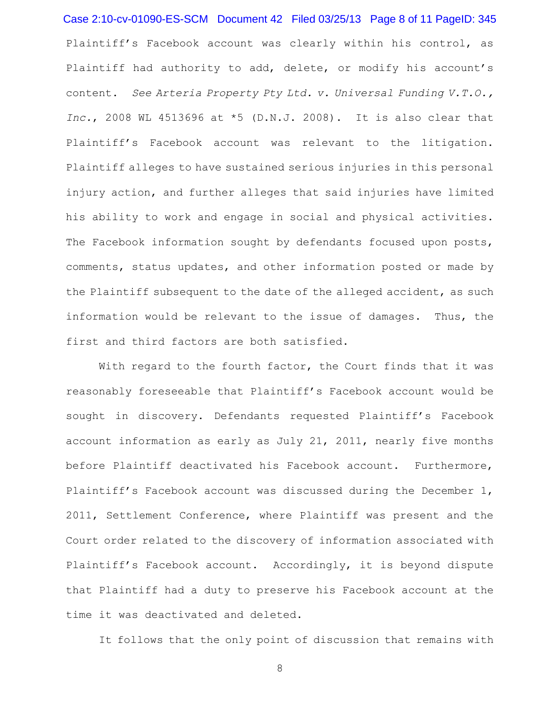Plaintiff's Facebook account was clearly within his control, as Plaintiff had authority to add, delete, or modify his account's content. *See Arteria Property Pty Ltd. v. Universal Funding V.T.O., Inc.*, 2008 WL 4513696 at \*5 (D.N.J. 2008). It is also clear that Plaintiff's Facebook account was relevant to the litigation. Plaintiff alleges to have sustained serious injuries in this personal injury action, and further alleges that said injuries have limited his ability to work and engage in social and physical activities. The Facebook information sought by defendants focused upon posts, comments, status updates, and other information posted or made by the Plaintiff subsequent to the date of the alleged accident, as such information would be relevant to the issue of damages. Thus, the first and third factors are both satisfied. Case 2:10-cv-01090-ES-SCM Document 42 Filed 03/25/13 Page 8 of 11 PageID: 345

With regard to the fourth factor, the Court finds that it was reasonably foreseeable that Plaintiff's Facebook account would be sought in discovery. Defendants requested Plaintiff's Facebook account information as early as July 21, 2011, nearly five months before Plaintiff deactivated his Facebook account. Furthermore, Plaintiff's Facebook account was discussed during the December 1, 2011, Settlement Conference, where Plaintiff was present and the Court order related to the discovery of information associated with Plaintiff's Facebook account. Accordingly, it is beyond dispute that Plaintiff had a duty to preserve his Facebook account at the time it was deactivated and deleted.

It follows that the only point of discussion that remains with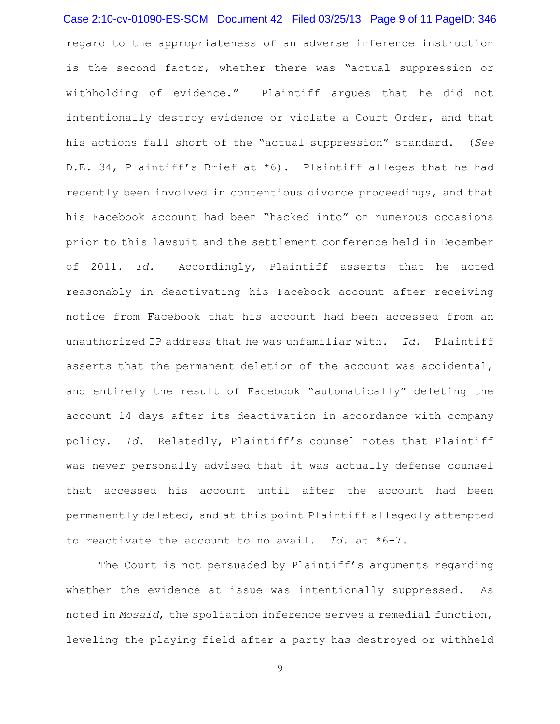regard to the appropriateness of an adverse inference instruction is the second factor, whether there was "actual suppression or withholding of evidence." Plaintiff argues that he did not intentionally destroy evidence or violate a Court Order, and that his actions fall short of the "actual suppression" standard. (*See* D.E. 34, Plaintiff's Brief at \*6). Plaintiff alleges that he had recently been involved in contentious divorce proceedings, and that his Facebook account had been "hacked into" on numerous occasions prior to this lawsuit and the settlement conference held in December of 2011. *Id.* Accordingly, Plaintiff asserts that he acted reasonably in deactivating his Facebook account after receiving notice from Facebook that his account had been accessed from an unauthorized IP address that he was unfamiliar with. *Id.* Plaintiff asserts that the permanent deletion of the account was accidental, and entirely the result of Facebook "automatically" deleting the account 14 days after its deactivation in accordance with company policy. *Id.* Relatedly, Plaintiff's counsel notes that Plaintiff was never personally advised that it was actually defense counsel that accessed his account until after the account had been permanently deleted, and at this point Plaintiff allegedly attempted to reactivate the account to no avail. *Id.* at \*6-7. Case 2:10-cv-01090-ES-SCM Document 42 Filed 03/25/13 Page 9 of 11 PageID: 346

The Court is not persuaded by Plaintiff's arguments regarding whether the evidence at issue was intentionally suppressed. As noted in *Mosaid*, the spoliation inference serves a remedial function, leveling the playing field after a party has destroyed or withheld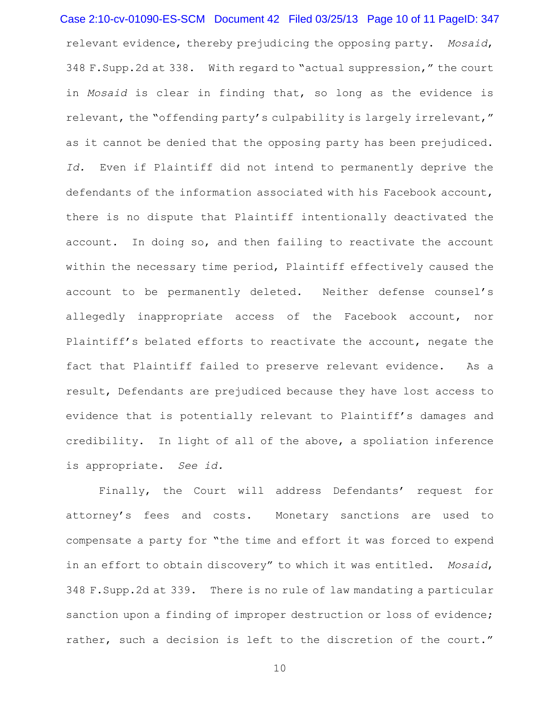relevant evidence, thereby prejudicing the opposing party. *Mosaid*, 348 F.Supp.2d at 338. With regard to "actual suppression," the court in *Mosaid* is clear in finding that, so long as the evidence is relevant, the "offending party's culpability is largely irrelevant," as it cannot be denied that the opposing party has been prejudiced. *Id.* Even if Plaintiff did not intend to permanently deprive the defendants of the information associated with his Facebook account, there is no dispute that Plaintiff intentionally deactivated the account. In doing so, and then failing to reactivate the account within the necessary time period, Plaintiff effectively caused the account to be permanently deleted. Neither defense counsel's allegedly inappropriate access of the Facebook account, nor Plaintiff's belated efforts to reactivate the account, negate the fact that Plaintiff failed to preserve relevant evidence. As a result, Defendants are prejudiced because they have lost access to evidence that is potentially relevant to Plaintiff's damages and credibility. In light of all of the above, a spoliation inference is appropriate. *See id.* Case 2:10-cv-01090-ES-SCM Document 42 Filed 03/25/13 Page 10 of 11 PageID: 347

Finally, the Court will address Defendants' request for attorney's fees and costs. Monetary sanctions are used to compensate a party for "the time and effort it was forced to expend in an effort to obtain discovery" to which it was entitled. *Mosaid*, 348 F.Supp.2d at 339. There is no rule of law mandating a particular sanction upon a finding of improper destruction or loss of evidence; rather, such a decision is left to the discretion of the court."